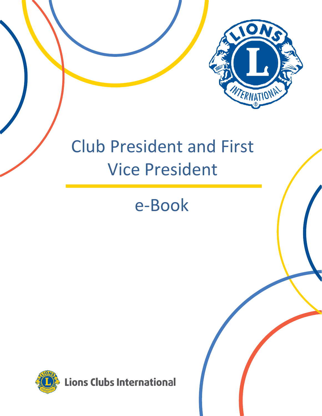

# Club President and First Vice President

# e-Book

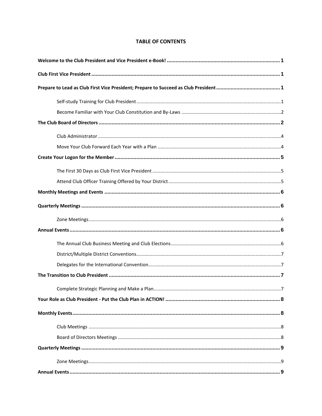# **TABLE OF CONTENTS**

<span id="page-2-0"></span>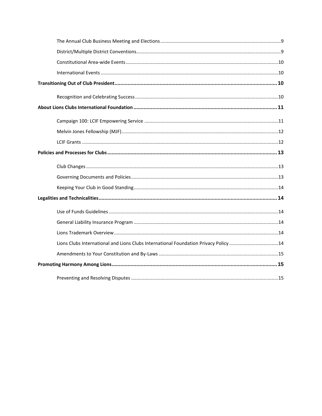| Lions Clubs International and Lions Clubs International Foundation Privacy Policy 14 |  |
|--------------------------------------------------------------------------------------|--|
|                                                                                      |  |
|                                                                                      |  |
|                                                                                      |  |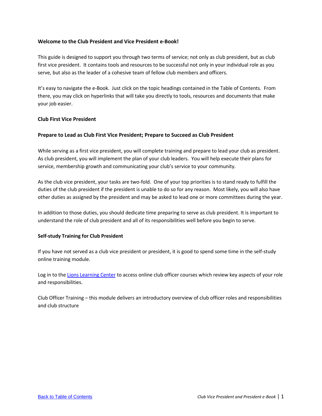# <span id="page-4-0"></span>**Welcome to the Club President and Vice President e-Book!**

This guide is designed to support you through two terms of service; not only as club president, but as club first vice president. It contains tools and resources to be successful not only in your individual role as you serve, but also as the leader of a cohesive team of fellow club members and officers.

It's easy to navigate the e-Book. Just click on the topic headings contained in the Table of Contents. From there, you may click on hyperlinks that will take you directly to tools, resources and documents that make your job easier.

#### <span id="page-4-1"></span>**Club First Vice President**

# <span id="page-4-2"></span>**Prepare to Lead as Club First Vice President; Prepare to Succeed as Club President**

While serving as a first vice president, you will complete training and prepare to lead your club as president. As club president, you will implement the plan of your club leaders. You will help execute their plans for service, membership growth and communicating your club's service to your community.

As the club vice president, your tasks are two-fold. One of your top priorities is to stand ready to fulfill the duties of the club president if the president is unable to do so for any reason. Most likely, you will also have other duties as assigned by the president and may be asked to lead one or more committees during the year.

In addition to those duties, you should dedicate time preparing to serve as club president. It is important to understand the role of club president and all of its responsibilities well before you begin to serve.

#### <span id="page-4-3"></span>**Self-study Training for Club President**

If you have not served as a club vice president or president, it is good to spend some time in the self-study online training module.

Log in to th[e Lions Learning Center](https://myapps.lionsclubs.org/?) to access online club officer courses which review key aspects of your role and responsibilities.

Club Officer Training – this module delivers an introductory overview of club officer roles and responsibilities and club structure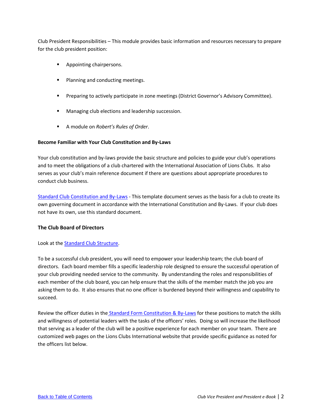Club President Responsibilities – This module provides basic information and resources necessary to prepare for the club president position:

- Appointing chairpersons.
- Planning and conducting meetings.
- **•** Preparing to actively participate in zone meetings (District Governor's Advisory Committee).
- Managing club elections and leadership succession.
- A module on *Robert's Rules of Order*.

# <span id="page-5-0"></span>**Become Familiar with Your Club Constitution and By-Laws**

Your club constitution and by-laws provide the basic structure and policies to guide your club's operations and to meet the obligations of a club chartered with the International Association of Lions Clubs. It also serves as your club's main reference document if there are questions about appropriate procedures to conduct club business.

[Standard Club Constitution and By-Laws](https://www.lionsclubs.org/resources/79862640) - This template document serves as the basis for a club to create its own governing document in accordance with the International Constitution and By-Laws. If your club does not have its own, use this standard document.

#### <span id="page-5-1"></span>**The Club Board of Directors**

#### Look at the [Standard Club Structure.](https://www.lionsclubs.org/resources/79862963)

To be a successful club president, you will need to empower your leadership team; the club board of directors. Each board member fills a specific leadership role designed to ensure the successful operation of your club providing needed service to the community. By understanding the roles and responsibilities of each member of the club board, you can help ensure that the skills of the member match the job you are asking them to do. It also ensures that no one officer is burdened beyond their willingness and capability to succeed.

Review the officer duties in the [Standard Form Constitution & By-Laws](https://www.lionsclubs.org/resources/79863886) for these positions to match the skills and willingness of potential leaders with the tasks of the officers' roles. Doing so will increase the likelihood that serving as a leader of the club will be a positive experience for each member on your team. There are customized web pages on the Lions Clubs International website that provide specific guidance as noted for the officers list below.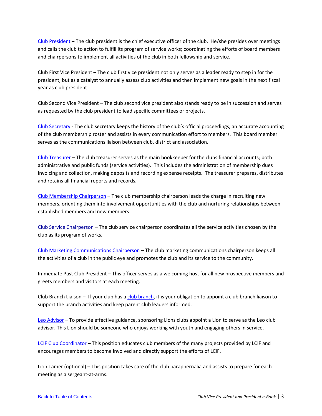[Club President](https://www.lionsclubs.org/en/resources-for-members/resource-center/club-president-vice-president) – The club president is the chief executive officer of the club. He/she presides over meetings and calls the club to action to fulfill its program of service works; coordinating the efforts of board members and chairpersons to implement all activities of the club in both fellowship and service.

Club First Vice President – The club first vice president not only serves as a leader ready to step in for the president, but as a catalyst to annually assess club activities and then implement new goals in the next fiscal year as club president.

Club Second Vice President – The club second vice president also stands ready to be in succession and serves as requested by the club president to lead specific committees or projects.

[Club Secretary](https://www.lionsclubs.org/en/resources-for-members/resource-center/club-secretary) - The club secretary keeps the history of the club's official proceedings, an accurate accounting of the club membership roster and assists in every communication effort to members. This board member serves as the communications liaison between club, district and association.

[Club Treasurer](https://www.lionsclubs.org/en/resources-for-members/resource-center/club-treasurer) – The club treasurer serves as the main bookkeeper for the clubs financial accounts; both administrative and public funds (service activities). This includes the administration of membership dues invoicing and collection, making deposits and recording expense receipts. The treasurer prepares, distributes and retains all financial reports and records.

[Club Membership Chairperson](https://www.lionsclubs.org/en/resources-for-members/resource-center/club-membership-chairperson) – The club membership chairperson leads the charge in recruiting new members, orienting them into involvement opportunities with the club and nurturing relationships between established members and new members.

[Club Service Chairperson](https://www.lionsclubs.org/en/resources-for-members/resource-center/club-service-chairperson) – The club service chairperson coordinates all the service activities chosen by the club as its program of works.

[Club Marketing Communications Chairperson](https://www.lionsclubs.org/en/resources-for-members/resource-center/club-marketing-communications-chairperson) – The club marketing communications chairperson keeps all the activities of a club in the public eye and promotes the club and its service to the community.

Immediate Past Club President – This officer serves as a welcoming host for all new prospective members and greets members and visitors at each meeting.

Club Branch Liaison – If your club has a [club branch,](https://www.lionsclubs.org/en/resources-for-members/resource-center/club-branch) it is your obligation to appoint a club branch liaison to support the branch activities and keep parent club leaders informed.

[Leo Advisor](https://www.lionsclubs.org/en/resources-for-members/resource-center/leo-club-advisors) – To provide effective guidance, sponsoring Lions clubs appoint a Lion to serve as the Leo club advisor. This Lion should be someone who enjoys working with youth and engaging others in service.

[LCIF Club Coordinator](https://www.lionsclubs.org/en/resources-for-members/resource-center/club-lcif-coordinator) – This position educates club members of the many projects provided by LCIF and encourages members to become involved and directly support the efforts of LCIF.

Lion Tamer (optional) – This position takes care of the club paraphernalia and assists to prepare for each meeting as a sergeant-at-arms.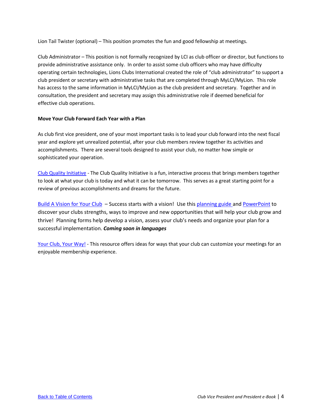Lion Tail Twister (optional) – This position promotes the fun and good fellowship at meetings.

<span id="page-7-0"></span>Club Administrator – This position is not formally recognized by LCI as club officer or director, but functions to provide administrative assistance only. In order to assist some club officers who may have difficulty operating certain technologies, Lions Clubs International created the role of "club administrator" to support a club president or secretary with administrative tasks that are completed through MyLCI/MyLion. This role has access to the same information in MyLCI/MyLion as the club president and secretary. Together and in consultation, the president and secretary may assign this administrative role if deemed beneficial for effective club operations.

# <span id="page-7-1"></span>**Move Your Club Forward Each Year with a Plan**

As club first vice president, one of your most important tasks is to lead your club forward into the next fiscal year and explore yet unrealized potential, after your club members review together its activities and accomplishments. There are several tools designed to assist your club, no matter how simple or sophisticated your operation.

[Club Quality Initiative](https://www.lionsclubs.org/en/resources-for-members/resource-center/club-quality-initiative) - The Club Quality Initiative is a fun, interactive process that brings members together to look at what your club is today and what it can be tomorrow. This serves as a great starting point for a review of previous accomplishments and dreams for the future.

[Build A Vision for Your Club](https://www.lionsclubs.org/resources/110059154) – Success starts with a vision! Use this [planning guide a](https://www.lionsclubs.org/resources/110059154)nd [PowerPoint](https://www.lionsclubs.org/resources/110059152) to discover your clubs strengths, ways to improve and new opportunities that will help your club grow and thrive! Planning forms help develop a vision, assess your club's needs and organize your plan for a successful implementation. *Coming soon in languages*

[Your Club, Your Way!](https://www.lionsclubs.org/resources/79862780) - This resource offers ideas for ways that your club can customize your meetings for an enjoyable membership experience.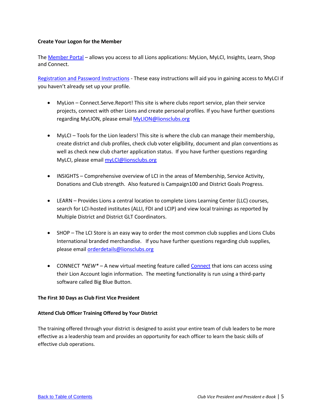# <span id="page-8-0"></span>**Create Your Logon for the Member**

The [Member Portal](https://myapps.lionsclubs.org/?) – allows you access to all Lions applications: MyLion, MyLCI, Insights, Learn, Shop and Connect.

[Registration and Password Instructions](https://lionshelp.zendesk.com/hc/en-us/categories/360002949274) - These easy instructions will aid you in gaining access to MyLCI if you haven't already set up your profile.

- MyLion Connect.Serve.Report! This site is where clubs report service, plan their service projects, connect with other Lions and create personal profiles. If you have further questions regarding MyLION, please email [MyLION@lionsclubs.org](mailto:MyLION@lionsclubs.org)
- MyLCI Tools for the Lion leaders! This site is where the club can manage their membership, create district and club profiles, check club voter eligibility, document and plan conventions as well as check new club charter application status. If you have further questions regarding MyLCI, please email **myLCI@lionsclubs.org**
- INSIGHTS Comprehensive overview of LCI in the areas of Membership, Service Activity, Donations and Club strength. Also featured is Campaign100 and District Goals Progress.
- LEARN Provides Lions a central location to complete Lions Learning Center (LLC) courses, search for LCI-hosted institutes (ALLI, FDI and LCIP) and view local trainings as reported by Multiple District and District GLT Coordinators.
- SHOP The LCI Store is an easy way to order the most common club supplies and Lions Clubs International branded merchandise. If you have further questions regarding club supplies, please emai[l orderdetails@lionsclubs.org](mailto:orderdetails@lionsclubs.org)
- CONNECT \*NEW\* A new virtual meeting feature called [Connect](https://lionshelp.zendesk.com/hc/en-us/sections/360009673473-Connect) that ions can access using their Lion Account login information. The meeting functionality is run using a third-party software called Big Blue Button.

# <span id="page-8-1"></span>**The First 30 Days as Club First Vice President**

# <span id="page-8-2"></span>**Attend Club Officer Training Offered by Your District**

The training offered through your district is designed to assist your entire team of club leaders to be more effective as a leadership team and provides an opportunity for each officer to learn the basic skills of effective club operations.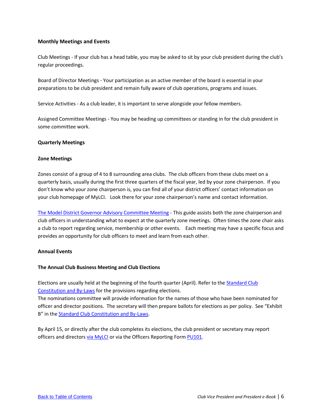# <span id="page-9-0"></span>**Monthly Meetings and Events**

Club Meetings - If your club has a head table, you may be asked to sit by your club president during the club's regular proceedings.

Board of Director Meetings - Your participation as an active member of the board is essential in your preparations to be club president and remain fully aware of club operations, programs and issues.

Service Activities - As a club leader, it is important to serve alongside your fellow members.

Assigned Committee Meetings - You may be heading up committees or standing in for the club president in some committee work.

#### <span id="page-9-1"></span>**Quarterly Meetings**

#### <span id="page-9-2"></span>**Zone Meetings**

Zones consist of a group of 4 to 8 surrounding area clubs. The club officers from these clubs meet on a quarterly basis, usually during the first three quarters of the fiscal year, led by your zone chairperson. If you don't know who your zone chairperson is, you can find all of your district officers' contact information on your club homepage of MyLCI. Look there for your zone chairperson's name and contact information.

[The Model District Governor Advisory Committee Meeting](https://www.lionsclubs.org/resources/79863107) - This guide assists both the zone chairperson and club officers in understanding what to expect at the quarterly zone meetings. Often times the zone chair asks a club to report regarding service, membership or other events. Each meeting may have a specific focus and provides an opportunity for club officers to meet and learn from each other.

#### <span id="page-9-3"></span>**Annual Events**

#### <span id="page-9-4"></span>**The Annual Club Business Meeting and Club Elections**

Elections are usually held at the beginning of the fourth quarter (April). Refer to th[e Standard Club](https://www.lionsclubs.org/resources/79863886)  [Constitution and By-Laws](https://www.lionsclubs.org/resources/79863886) for the provisions regarding elections.

The nominations committee will provide information for the names of those who have been nominated for officer and director positions. The secretary will then prepare ballots for elections as per policy. See "Exhibit B" in the [Standard Club Constitution and By-Laws.](https://www.lionsclubs.org/resources/79863886)

By April 15, or directly after the club completes its elections, the club president or secretary may report officers and directors [via MyLCI](https://extranet.lionsclubs.org/common/docs/Officer/OfficerFAQ_EN.pdf) or via the Officers Reporting Form [PU101.](https://www.lionsclubs.org/resources/79864516)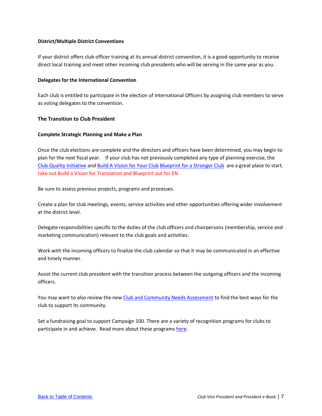## <span id="page-10-0"></span>**District/Multiple District Conventions**

If your district offers club officer training at its annual district convention, it is a good opportunity to receive direct local training and meet other incoming club presidents who will be serving in the same year as you.

#### <span id="page-10-1"></span>**Delegates for the International Convention**

Each club is entitled to participate in the election of International Officers by assigning club members to serve as voting delegates to the convention.

# <span id="page-10-2"></span>**The Transition to Club President**

#### <span id="page-10-3"></span>**Complete Strategic Planning and Make a Plan**

Once the club elections are complete and the directors and officers have been determined, you may begin to plan for the next fiscal year. If your club has not previously completed any type of planning exercise, the [Club Quality Initiative](https://www.lionsclubs.org/en/resources-for-members/resource-center/club-quality-initiative) an[d Build A Vision for Your Club](https://www.lionsclubs.org/resources/110059154) [Blueprint for a Stronger Club](https://www.lionsclubs.org/en/resources-for-members/resource-center/stronger-club-blueprint) are a great place to start. take out Build a Vision for Translation and Blueprint out for EN

Be sure to assess previous projects, programs and processes.

Create a plan for club meetings, events, service activities and other opportunities offering wider involvement at the district level.

Delegate responsibilities specific to the duties of the club officers and chairpersons (membership, service and marketing communication) relevant to the club goals and activities.

Work with the incoming officers to finalize the club calendar so that it may be communicated in an effective and timely manner.

Assist the current club president with the transition process between the outgoing officers and the incoming officers.

You may want to also review the new [Club and Community Needs Assessment](https://www.lionsclubs.org/resources/76025096) to find the best ways for the club to support its community.

Set a fundraising goal to support Campaign 100. There are a variety of recognition programs for clubs to participate in and achieve. Read more about these programs [here.](https://www.lionsclubs.org/en/give-how-to-give/recognition-programs)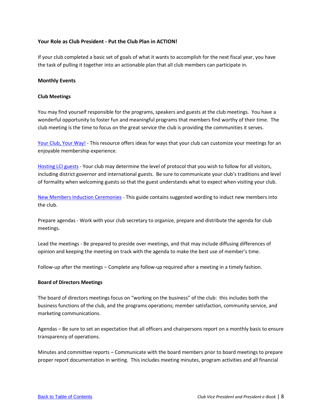# <span id="page-11-0"></span>**Your Role as Club President - Put the Club Plan in ACTION!**

If your club completed a basic set of goals of what it wants to accomplish for the next fiscal year, you have the task of pulling it together into an actionable plan that all club members can participate in.

#### <span id="page-11-1"></span>**Monthly Events**

#### <span id="page-11-2"></span>**Club Meetings**

You may find yourself responsible for the programs, speakers and guests at the club meetings. You have a wonderful opportunity to foster fun and meaningful programs that members find worthy of their time. The club meeting is the time to focus on the great service the club is providing the communities it serves.

[Your Club, Your Way!](https://www.lionsclubs.org/resources/79862780) - This resource offers ideas for ways that your club can customize your meetings for an enjoyable membership experience.

[Hosting LCI guests](https://www.lionsclubs.org/resources/79863884) - Your club may determine the level of protocol that you wish to follow for all visitors, including district governor and international guests. Be sure to communicate your club's traditions and level of formality when welcoming guests so that the guest understands what to expect when visiting your club.

[New Members Induction Ceremonies](https://www.lionsclubs.org/resources/79863810) - This guide contains suggested wording to induct new members into the club.

Prepare agendas - Work with your club secretary to organize, prepare and distribute the agenda for club meetings.

Lead the meetings - Be prepared to preside over meetings, and that may include diffusing differences of opinion and keeping the meeting on track with the agenda to make the best use of member's time.

Follow-up after the meetings – Complete any follow-up required after a meeting in a timely fashion.

#### <span id="page-11-3"></span>**Board of Directors Meetings**

The board of directors meetings focus on "working on the business" of the club: this includes both the business functions of the club, and the programs operations; member satisfaction, community service, and marketing communications.

Agendas – Be sure to set an expectation that all officers and chairpersons report on a monthly basis to ensure transparency of operations.

Minutes and committee reports – Communicate with the board members prior to board meetings to prepare proper report documentation in writing. This includes meeting minutes, program activities and all financial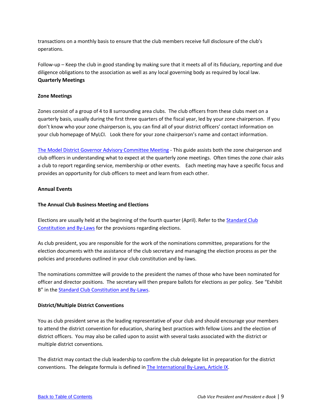transactions on a monthly basis to ensure that the club members receive full disclosure of the club's operations.

<span id="page-12-0"></span>Follow-up – Keep the club in good standing by making sure that it meets all of its fiduciary, reporting and due diligence obligations to the association as well as any local governing body as required by local law. **Quarterly Meetings**

## <span id="page-12-1"></span>**Zone Meetings**

Zones consist of a group of 4 to 8 surrounding area clubs. The club officers from these clubs meet on a quarterly basis, usually during the first three quarters of the fiscal year, led by your zone chairperson. If you don't know who your zone chairperson is, you can find all of your district officers' contact information on your club homepage of MyLCI. Look there for your zone chairperson's name and contact information.

[The Model District Governor Advisory Committee Meeting](https://www.lionsclubs.org/resources/79863107) - This guide assists both the zone chairperson and club officers in understanding what to expect at the quarterly zone meetings. Often times the zone chair asks a club to report regarding service, membership or other events. Each meeting may have a specific focus and provides an opportunity for club officers to meet and learn from each other.

# <span id="page-12-2"></span>**Annual Events**

# <span id="page-12-3"></span>**The Annual Club Business Meeting and Elections**

Elections are usually held at the beginning of the fourth quarter (April). Refer to the [Standard Club](https://www.lionsclubs.org/resources/79863886)  [Constitution and By-Laws](https://www.lionsclubs.org/resources/79863886) for the provisions regarding elections.

As club president, you are responsible for the work of the nominations committee, preparations for the election documents with the assistance of the club secretary and managing the election process as per the policies and procedures outlined in your club constitution and by-laws.

The nominations committee will provide to the president the names of those who have been nominated for officer and director positions. The secretary will then prepare ballots for elections as per policy. See "Exhibit B" in the [Standard Club Constitution and By-Laws.](https://www.lionsclubs.org/resources/79863886)

#### <span id="page-12-4"></span>**District/Multiple District Conventions**

You as club president serve as the leading representative of your club and should encourage your members to attend the district convention for education, sharing best practices with fellow Lions and the election of district officers. You may also be called upon to assist with several tasks associated with the district or multiple district conventions.

The district may contact the club leadership to confirm the club delegate list in preparation for the district conventions. The delegate formula is defined i[n The International By-Laws, Article IX.](https://www.lionsclubs.org/resources/79863642)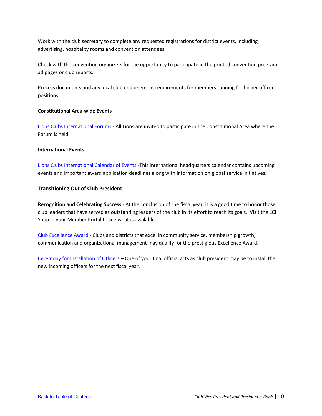Work with the club secretary to complete any requested registrations for district events, including advertising, hospitality rooms and convention attendees.

Check with the convention organizers for the opportunity to participate in the printed convention program ad pages or club reports.

Process documents and any local club endorsement requirements for members running for higher officer positions.

#### <span id="page-13-0"></span>**Constitutional Area-wide Events**

[Lions Clubs International Forums](https://www.lionsclubs.org/en/resources-for-members/forums) - All Lions are invited to participate in the Constitutional Area where the Forum is held.

#### <span id="page-13-1"></span>**International Events**

[Lions Clubs International Calendar of Events](https://www.lionsclubs.org/en/resources-for-members/lions-events-calendar) -This international headquarters calendar contains upcoming events and important award application deadlines along with information on global service initiatives.

#### <span id="page-13-2"></span>**Transitioning Out of Club President**

<span id="page-13-3"></span>**Recognition and Celebrating Success** - At the conclusion of the fiscal year, it is a good time to honor those club leaders that have served as outstanding leaders of the club in its effort to reach its goals. Visit the LCI Shop in your Member Portal to see what is available.

[Club Excellence Award](https://www.lionsclubs.org/en/resources-for-members/resource-center/club-excellence-awards) - Clubs and districts that excel in community service, membership growth, communication and organizational management may qualify for the prestigious Excellence Award.

[Ceremony for Installation of Officers](https://www.lionsclubs.org/resources/79863659) – One of your final official acts as club president may be to install the new incoming officers for the next fiscal year.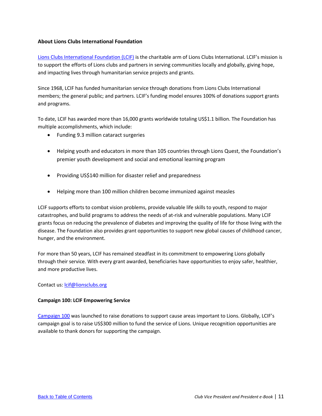# <span id="page-14-0"></span>**About Lions Clubs International Foundation**

[Lions Clubs International Foundation \(LCIF\)](https://www.lionsclubs.org/en/discover-our-foundation/mission) is the charitable arm of Lions Clubs International. LCIF's mission is to support the efforts of Lions clubs and partners in serving communities locally and globally, giving hope, and impacting lives through humanitarian service projects and grants.

Since 1968, LCIF has funded humanitarian service through donations from Lions Clubs International members; the general public; and partners. LCIF's funding model ensures 100% of donations support grants and programs.

To date, LCIF has awarded more than 16,000 grants worldwide totaling US\$1.1 billion. The Foundation has multiple accomplishments, which include:

- Funding 9.3 million cataract surgeries
- Helping youth and educators in more than 105 countries through Lions Quest, the Foundation's premier youth development and social and emotional learning program
- Providing US\$140 million for disaster relief and preparedness
- Helping more than 100 million children become immunized against measles

LCIF supports efforts to combat vision problems, provide valuable life skills to youth, respond to major catastrophes, and build programs to address the needs of at-risk and vulnerable populations. Many LCIF grants focus on reducing the prevalence of diabetes and improving the quality of life for those living with the disease. The Foundation also provides grant opportunities to support new global causes of childhood cancer, hunger, and the environment.

For more than 50 years, LCIF has remained steadfast in its commitment to empowering Lions globally through their service. With every grant awarded, beneficiaries have opportunities to enjoy safer, healthier, and more productive lives.

Contact us[: lcif@lionsclubs.org](mailto:lcif@lionsclubs.org)

#### <span id="page-14-1"></span>**[Campaign 100:](https://www.lionsclubs.org/en/give-how-to-give/campaign-100) LCIF Empowering Service**

[Campaign 100](https://www.lionsclubs.org/en/give-how-to-give/campaign-100) was launched to raise donations to support cause areas important to Lions. Globally, LCIF's campaign goal is to raise US\$300 million to fund the service of Lions. Unique recognition opportunities are available to thank donors for supporting the campaign.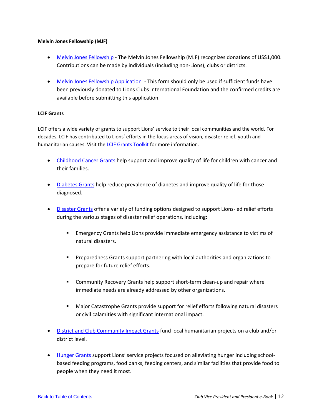# <span id="page-15-0"></span>**Melvin Jones Fellowship (MJF)**

- [Melvin Jones Fellowship](https://www.lionsclubs.org/en/give-how-to-give/melvin-jones-fellowship) The Melvin Jones Fellowship (MJF) recognizes donations of US\$1,000. Contributions can be made by individuals (including non-Lions), clubs or districts.
- [Melvin Jones Fellowship Application](https://www.lionsclubs.org/resources/79864500) This form should only be used if sufficient funds have been previously donated to Lions Clubs International Foundation and the confirmed credits are available before submitting this application.

# <span id="page-15-1"></span>**LCIF Grants**

LCIF offers a wide variety of grants to support Lions' service to their local communities and the world. For decades, LCIF has contributed to Lions' efforts in the focus areas of vision, disaster relief, youth and humanitarian causes. Visit the [LCIF Grants Toolkit](https://www.lionsclubs.org/en/lcif-grants-toolkit) for more information.

- [Childhood Cancer Grants](https://www.lionsclubs.org/en/start-our-approach/grant-types/cancer-pilot-grant) help support and improve quality of life for children with cancer and their families.
- [Diabetes Grants](https://www.lionsclubs.org/en/start-our-approach/grant-types/diabetes-grants) help reduce prevalence of diabetes and improve quality of life for those diagnosed.
- [Disaster Grants](https://www.lionsclubs.org/en/start-our-approach/grant-types/disaster-grants) offer a variety of funding options designed to support Lions-led relief efforts during the various stages of disaster relief operations, including:
	- **Emergency Grants help Lions provide immediate emergency assistance to victims of** natural disasters.
	- Preparedness Grants support partnering with local authorities and organizations to prepare for future relief efforts.
	- **EX Community Recovery Grants help support short-term clean-up and repair where** immediate needs are already addressed by other organizations.
	- Major Catastrophe Grants provide support for relief efforts following natural disasters or civil calamities with significant international impact.
- [District and Club Community Impact Grants](https://www.lionsclubs.org/en/start-our-approach/grant-types/district-club-community-impact-grants) fund local humanitarian projects on a club and/or district level.
- [Hunger Grants](https://www.lionsclubs.org/en/start-our-approach/grant-types/hunger-pilot-grant) support Lions' service projects focused on alleviating hunger including schoolbased feeding programs, food banks, feeding centers, and similar facilities that provide food to people when they need it most.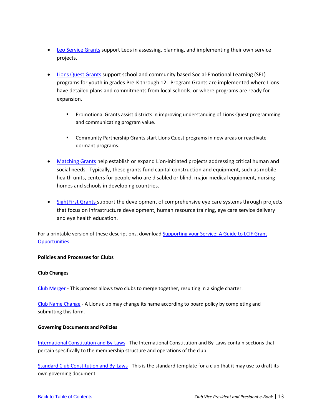- [Leo Service Grants](https://www.lionsclubs.org/en/start-our-approach/grant-types/leo-grants) support Leos in assessing, planning, and implementing their own service projects.
- [Lions Quest Grants](https://www.lionsclubs.org/en/start-our-approach/grant-types/lions-quest-grants) support school and community based Social-Emotional Learning (SEL) programs for youth in grades Pre-K through 12. Program Grants are implemented where Lions have detailed plans and commitments from local schools, or where programs are ready for expansion.
	- **Promotional Grants assist districts in improving understanding of Lions Quest programming** and communicating program value.
	- **EXECOMMUNITY Community Partnership Grants start Lions Quest programs in new areas or reactivate** dormant programs.
- [Matching Grants](https://www.lionsclubs.org/en/start-our-approach/grant-types/matching-grants#_ga=2.119997773.496672518.1612886333-1771807562.1548777711) help establish or expand Lion-initiated projects addressing critical human and social needs. Typically, these grants fund capital construction and equipment, such as mobile health units, centers for people who are disabled or blind, major medical equipment, nursing homes and schools in developing countries.
- [SightFirst Grants](https://www.lionsclubs.org/en/start-our-approach/grant-types/sightfirst-grants) support the development of comprehensive eye care systems through projects that focus on infrastructure development, human resource training, eye care service delivery and eye health education.

For a printable version of these descriptions, downloa[d Supporting your Service: A Guide to LCIF Grant](https://cdn2.webdamdb.com/md_IWGOTLuFp912.jpg.pdf?v=1)  [Opportunities.](https://cdn2.webdamdb.com/md_IWGOTLuFp912.jpg.pdf?v=1)

# <span id="page-16-0"></span>**Policies and Processes for Clubs**

#### <span id="page-16-1"></span>**Club Changes**

[Club Merger](https://www.lionsclubs.org/resources/79863258) - This process allows two clubs to merge together, resulting in a single charter.

[Club Name Change](https://www.lionsclubs.org/resources/79863226) - A Lions club may change its name according to board policy by completing and submitting this form.

#### <span id="page-16-2"></span>**Governing Documents and Policies**

[International Constitution and By-Laws](https://www.lionsclubs.org/resources/79863642) - The International Constitution and By-Laws contain sections that pertain specifically to the membership structure and operations of the club.

[Standard Club Constitution and By-Laws](https://www.lionsclubs.org/resources/79863886) - This is the standard template for a club that it may use to draft its own governing document.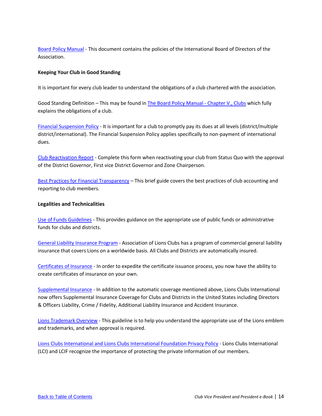[Board Policy Manual](https://www.lionsclubs.org/en/resources-for-members/resource-center/board-policy-manual) - This document contains the policies of the International Board of Directors of the Association.

## <span id="page-17-0"></span>**Keeping Your Club in Good Standing**

It is important for every club leader to understand the obligations of a club chartered with the association.

Good Standing Definition – This may be found i[n The Board Policy Manual -](https://www.lionsclubs.org/en/resources-for-members/resource-center/board-policy-manual) Chapter V., Clubs which fully explains the obligations of a club.

[Financial Suspension Policy](https://www.lionsclubs.org/resources/79864540) - It is important for a club to promptly pay its dues at all levels (district/multiple district/international). The Financial Suspension Policy applies specifically to non-payment of international dues.

[Club Reactivation Report](https://www.lionsclubs.org/resources/79863237) - Complete this form when reactivating your club from Status Quo with the approval of the District Governor, First vice District Governor and Zone Chairperson.

[Best Practices for Financial Transparency](https://www.lionsclubs.org/resources/79863764) – This brief guide covers the best practices of club accounting and reporting to club members.

# <span id="page-17-1"></span>**Legalities and Technicalities**

<span id="page-17-2"></span>[Use of Funds Guidelines](https://www.lionsclubs.org/resources/79864290) - This provides guidance on the appropriate use of public funds or administrative funds for clubs and districts.

<span id="page-17-3"></span>[General Liability Insurance Program](https://www.lionsclubs.org/en/resources-for-members/resource-center/insurance) - Association of Lions Clubs has a program of commercial general liability insurance that covers Lions on a worldwide basis. All Clubs and Districts are automatically insured.

[Certificates of Insurance](https://lionsclubs.org/en/resources-for-members/resource-center/certificate-of-insurance) - In order to expedite the certificate issuance process, you now have the ability to create certificates of insurance on your own.

[Supplemental Insurance](https://lionsclubs.org/en/resources-for-members/resource-center?query=insurance) - In addition to the automatic coverage mentioned above, Lions Clubs International now offers Supplemental Insurance Coverage for Clubs and Districts in the United States including Directors & Officers Liability, Crime / Fidelity, Additional Liability Insurance and Accident Insurance.

<span id="page-17-4"></span>[Lions Trademark Overview](https://www.lionsclubs.org/resources/79864197) - This guideline is to help you understand the appropriate use of the Lions emblem and trademarks, and when approval is required.

<span id="page-17-5"></span>[Lions Clubs International and Lions Clubs International Foundation Privacy Policy](https://lionsclubs.org/en/footer/connect/your-privacy) - Lions Clubs International (LCI) and LCIF recognize the importance of protecting the private information of our members.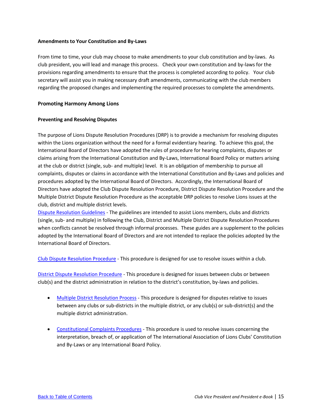#### <span id="page-18-0"></span>**Amendments to Your Constitution and By-Laws**

From time to time, your club may choose to make amendments to your club constitution and by-laws. As club president, you will lead and manage this process. Check your own constitution and by-laws for the provisions regarding amendments to ensure that the process is completed according to policy. Your club secretary will assist you in making necessary draft amendments, communicating with the club members regarding the proposed changes and implementing the required processes to complete the amendments.

#### <span id="page-18-1"></span>**Promoting Harmony Among Lions**

# <span id="page-18-2"></span>**Preventing and Resolving Disputes**

The purpose of Lions Dispute Resolution Procedures (DRP) is to provide a mechanism for resolving disputes within the Lions organization without the need for a formal evidentiary hearing. To achieve this goal, the International Board of Directors have adopted the rules of procedure for hearing complaints, disputes or claims arising from the International Constitution and By-Laws, International Board Policy or matters arising at the club or district (single, sub- and multiple) level. It is an obligation of membership to pursue all complaints, disputes or claims in accordance with the International Constitution and By-Laws and policies and procedures adopted by the International Board of Directors. Accordingly, the International Board of Directors have adopted the Club Dispute Resolution Procedure, District Dispute Resolution Procedure and the Multiple District Dispute Resolution Procedure as the acceptable DRP policies to resolve Lions issues at the club, district and multiple district levels.

[Dispute Resolution Guidelines](https://www.lionsclubs.org/resources/79863548) - The guidelines are intended to assist Lions members, clubs and districts (single, sub- and multiple) in following the Club, District and Multiple District Dispute Resolution Procedures when conflicts cannot be resolved through informal processes. These guides are a supplement to the policies adopted by the International Board of Directors and are not intended to replace the policies adopted by the International Board of Directors.

[Club Dispute Resolution Procedure](https://www.lionsclubs.org/resources/79863708) - This procedure is designed for use to resolve issues within a club.

[District Dispute Resolution Procedure](https://www.lionsclubs.org/resources/79863166) - This procedure is designed for issues between clubs or between club(s) and the district administration in relation to the district's constitution, by-laws and policies.

- [Multiple District Resolution Process](https://www.lionsclubs.org/resources/79863756) This procedure is designed for disputes relative to issues between any clubs or sub-districts in the multiple district, or any club(s) or sub-district(s) and the multiple district administration.
- [Constitutional Complaints Procedures](https://www.lionsclubs.org/resources/79863481) This procedure is used to resolve issues concerning the interpretation, breach of, or application of The International Association of Lions Clubs' Constitution and By-Laws or any International Board Policy.